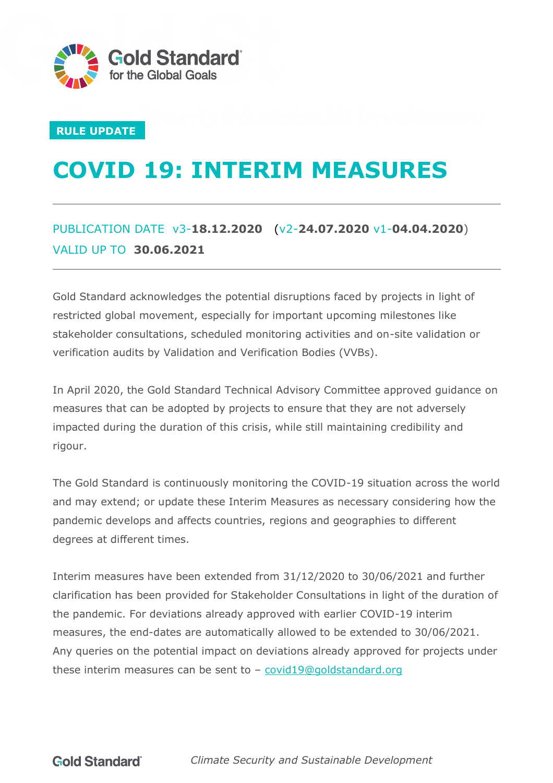

#### **RULE UPDATE**

# **COVID 19: INTERIM MEASURES**

### PUBLICATION DATE v3-**18.12.2020** (v2-**24.07.2020** v1-**04.04.2020**) VALID UP TO **30.06.2021**

Gold Standard acknowledges the potential disruptions faced by projects in light of restricted global movement, especially for important upcoming milestones like stakeholder consultations, scheduled monitoring activities and on-site validation or verification audits by Validation and Verification Bodies (VVBs).

In April 2020, the Gold Standard Technical Advisory Committee approved guidance on measures that can be adopted by projects to ensure that they are not adversely impacted during the duration of this crisis, while still maintaining credibility and rigour.

The Gold Standard is continuously monitoring the COVID-19 situation across the world and may extend; or update these Interim Measures as necessary considering how the pandemic develops and affects countries, regions and geographies to different degrees at different times.

Interim measures have been extended from 31/12/2020 to 30/06/2021 and further clarification has been provided for Stakeholder Consultations in light of the duration of the pandemic. For deviations already approved with earlier COVID-19 interim measures, the end-dates are automatically allowed to be extended to 30/06/2021. Any queries on the potential impact on deviations already approved for projects under these interim measures can be sent to  $-$  [covid19@goldstandard.org](mailto:covid19@goldstandard.org)

**Gold Standard** 

*Climate Security and Sustainable Development*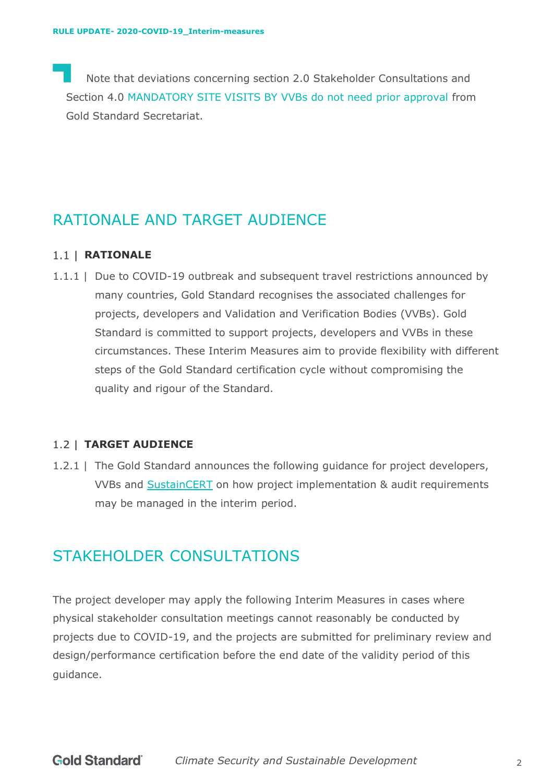Note that deviations concerning section 2.0 Stakeholder Consultations and Section 4.0 MANDATORY SITE VISITS BY VVBs do not need prior approval from Gold Standard Secretariat.

### RATIONALE AND TARGET AUDIENCE

#### 1.1 | **RATIONALE**

1.1.1 | Due to COVID-19 outbreak and subsequent travel restrictions announced by many countries, Gold Standard recognises the associated challenges for projects, developers and Validation and Verification Bodies (VVBs). Gold Standard is committed to support projects, developers and VVBs in these circumstances. These Interim Measures aim to provide flexibility with different steps of the Gold Standard certification cycle without compromising the quality and rigour of the Standard.

#### **TARGET AUDIENCE**

1.2.1 | The Gold Standard announces the following guidance for project developers, VVBs and [SustainCERT](https://www.sustain-cert.com/) on how project implementation & audit requirements may be managed in the interim period.

### STAKEHOLDER CONSULTATIONS

The project developer may apply the following Interim Measures in cases where physical stakeholder consultation meetings cannot reasonably be conducted by projects due to COVID-19, and the projects are submitted for preliminary review and design/performance certification before the end date of the validity period of this guidance.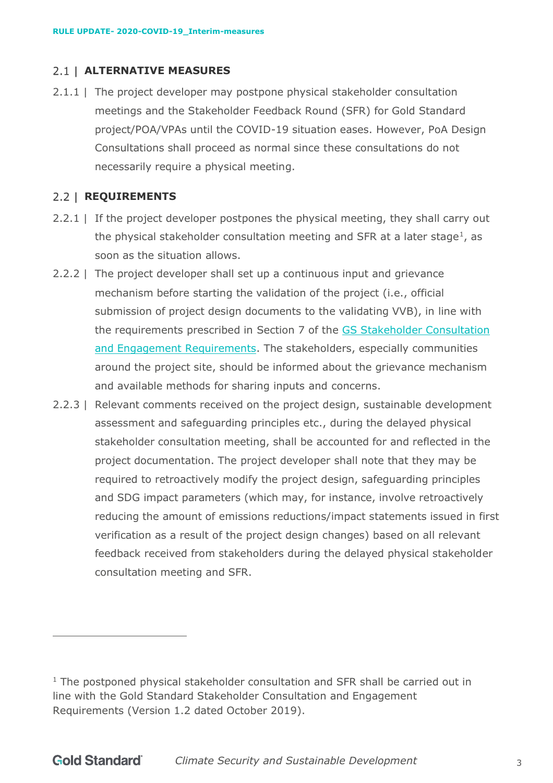#### **ALTERNATIVE MEASURES**

2.1.1 | The project developer may postpone physical stakeholder consultation meetings and the Stakeholder Feedback Round (SFR) for Gold Standard project/POA/VPAs until the COVID-19 situation eases. However, PoA Design Consultations shall proceed as normal since these consultations do not necessarily require a physical meeting.

#### 2.2 | **REQUIREMENTS**

- 2.2.1 | If the project developer postpones the physical meeting, they shall carry out the physical stakeholder consultation meeting and SFR at a later stage<sup>1</sup>, as soon as the situation allows.
- 2.2.2 | The project developer shall set up a continuous input and grievance mechanism before starting the validation of the project (i.e., official submission of project design documents to the validating VVB), in line with the requirements prescribed in Section 7 of the [GS Stakeholder Consultation](https://globalgoals.goldstandard.org/standards/102G_V1.2_PAR_Stakeholder-Consultation-and-engagement-Guidelines.pdf)  [and Engagement Requirements.](https://globalgoals.goldstandard.org/standards/102G_V1.2_PAR_Stakeholder-Consultation-and-engagement-Guidelines.pdf) The stakeholders, especially communities around the project site, should be informed about the grievance mechanism and available methods for sharing inputs and concerns.
- 2.2.3 | Relevant comments received on the project design, sustainable development assessment and safeguarding principles etc., during the delayed physical stakeholder consultation meeting, shall be accounted for and reflected in the project documentation. The project developer shall note that they may be required to retroactively modify the project design, safeguarding principles and SDG impact parameters (which may, for instance, involve retroactively reducing the amount of emissions reductions/impact statements issued in first verification as a result of the project design changes) based on all relevant feedback received from stakeholders during the delayed physical stakeholder consultation meeting and SFR.

 $1$  The postponed physical stakeholder consultation and SFR shall be carried out in line with the Gold Standard Stakeholder Consultation and Engagement Requirements (Version 1.2 dated October 2019).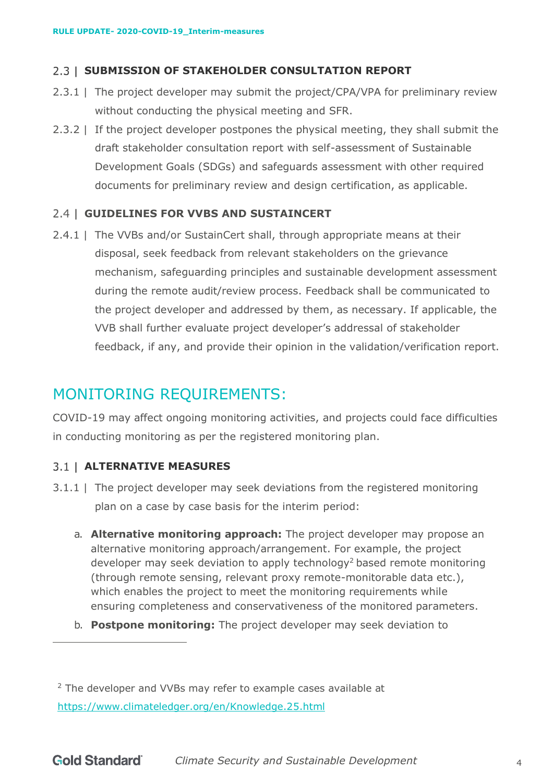#### **2.3 | SUBMISSION OF STAKEHOLDER CONSULTATION REPORT**

- 2.3.1 | The project developer may submit the project/CPA/VPA for preliminary review without conducting the physical meeting and SFR.
- 2.3.2 | If the project developer postpones the physical meeting, they shall submit the draft stakeholder consultation report with self-assessment of Sustainable Development Goals (SDGs) and safeguards assessment with other required documents for preliminary review and design certification, as applicable.

#### **GUIDELINES FOR VVBS AND SUSTAINCERT**

2.4.1 | The VVBs and/or SustainCert shall, through appropriate means at their disposal, seek feedback from relevant stakeholders on the grievance mechanism, safeguarding principles and sustainable development assessment during the remote audit/review process. Feedback shall be communicated to the project developer and addressed by them, as necessary. If applicable, the VVB shall further evaluate project developer's addressal of stakeholder feedback, if any, and provide their opinion in the validation/verification report.

### MONITORING REQUIREMENTS:

COVID-19 may affect ongoing monitoring activities, and projects could face difficulties in conducting monitoring as per the registered monitoring plan.

#### **ALTERNATIVE MEASURES**

- <span id="page-3-0"></span>3.1.1 | The project developer may seek deviations from the registered monitoring plan on a case by case basis for the interim period:
	- a. **Alternative monitoring approach:** The project developer may propose an alternative monitoring approach/arrangement. For example, the project developer may seek deviation to apply technology<sup>2</sup> based remote monitoring (through remote sensing, relevant proxy remote-monitorable data etc.), which enables the project to meet the monitoring requirements while ensuring completeness and conservativeness of the monitored parameters.
	- b. **Postpone monitoring:** The project developer may seek deviation to

<sup>&</sup>lt;sup>2</sup> The developer and VVBs may refer to example cases available at <https://www.climateledger.org/en/Knowledge.25.html>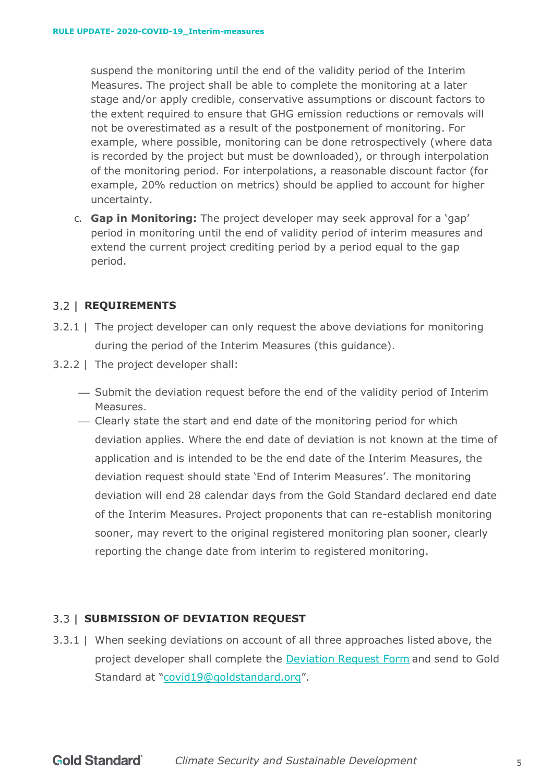suspend the monitoring until the end of the validity period of the Interim Measures. The project shall be able to complete the monitoring at a later stage and/or apply credible, conservative assumptions or discount factors to the extent required to ensure that GHG emission reductions or removals will not be overestimated as a result of the postponement of monitoring. For example, where possible, monitoring can be done retrospectively (where data is recorded by the project but must be downloaded), or through interpolation of the monitoring period. For interpolations, a reasonable discount factor (for example, 20% reduction on metrics) should be applied to account for higher uncertainty.

<span id="page-4-0"></span>c. **Gap in Monitoring:** The project developer may seek approval for a 'gap' period in monitoring until the end of validity period of interim measures and extend the current project crediting period by a period equal to the gap period.

#### **REQUIREMENTS**

- 3.2.1 | The project developer can only request the above deviations for monitoring during the period of the Interim Measures (this guidance).
- 3.2.2 | The project developer shall:
	- ⎯ Submit the deviation request before the end of the validity period of Interim Measures.
	- ⎯ Clearly state the start and end date of the monitoring period for which deviation applies. Where the end date of deviation is not known at the time of application and is intended to be the end date of the Interim Measures, the deviation request should state 'End of Interim Measures'. The monitoring deviation will end 28 calendar days from the Gold Standard declared end date of the Interim Measures. Project proponents that can re-establish monitoring sooner, may revert to the original registered monitoring plan sooner, clearly reporting the change date from interim to registered monitoring.

#### **SUBMISSION OF DEVIATION REQUEST**

3.3.1 | When seeking deviations on account of all three approaches listed above, the project developer shall complete the [Deviation Request Form](https://globalgoals.goldstandard.org/deviation-request-form/) and send to Gold Standard at ["covid19@goldstandard.org"](mailto:vvb@goldstandard.org).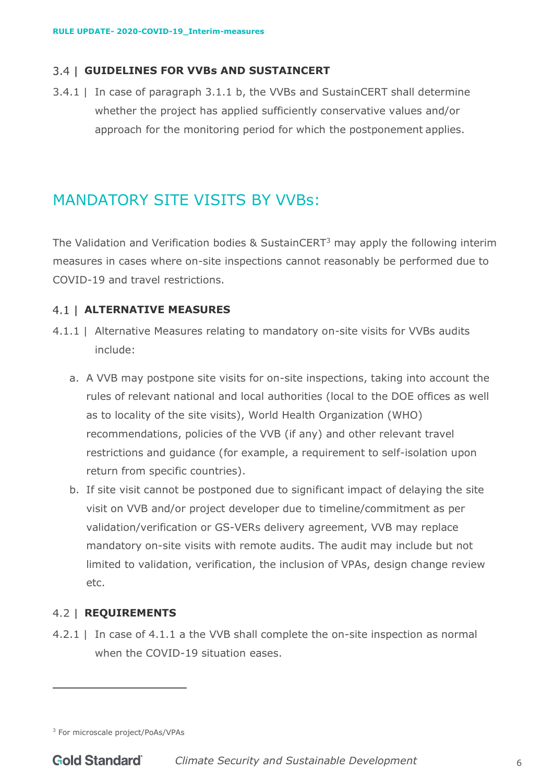#### **GUIDELINES FOR VVBs AND SUSTAINCERT**

3.4.1 | In case of paragraph [3.1.1](#page-3-0) [b,](#page-4-0) the VVBs and SustainCERT shall determine whether the project has applied sufficiently conservative values and/or approach for the monitoring period for which the postponement applies.

## MANDATORY SITE VISITS BY VVBs:

The Validation and Verification bodies & SustainCERT<sup>3</sup> may apply the following interim measures in cases where on-site inspections cannot reasonably be performed due to COVID-19 and travel restrictions.

#### **ALTERNATIVE MEASURES**

- <span id="page-5-1"></span><span id="page-5-0"></span>4.1.1 | Alternative Measures relating to mandatory on-site visits for VVBs audits include:
	- a. A VVB may postpone site visits for on-site inspections, taking into account the rules of relevant national and local authorities (local to the DOE offices as well as to locality of the site visits), World Health Organization (WHO) recommendations, policies of the VVB (if any) and other relevant travel restrictions and guidance (for example, a requirement to self-isolation upon return from specific countries).
	- b. If site visit cannot be postponed due to significant impact of delaying the site visit on VVB and/or project developer due to timeline/commitment as per validation/verification or GS-VERs delivery agreement, VVB may replace mandatory on-site visits with remote audits. The audit may include but not limited to validation, verification, the inclusion of VPAs, design change review etc.

#### <span id="page-5-2"></span>**REQUIREMENTS**

4.2.1 | In case of [4.1.1](#page-5-0) [a t](#page-5-1)he VVB shall complete the on-site inspection as normal when the COVID-19 situation eases.

<sup>3</sup> For microscale project/PoAs/VPAs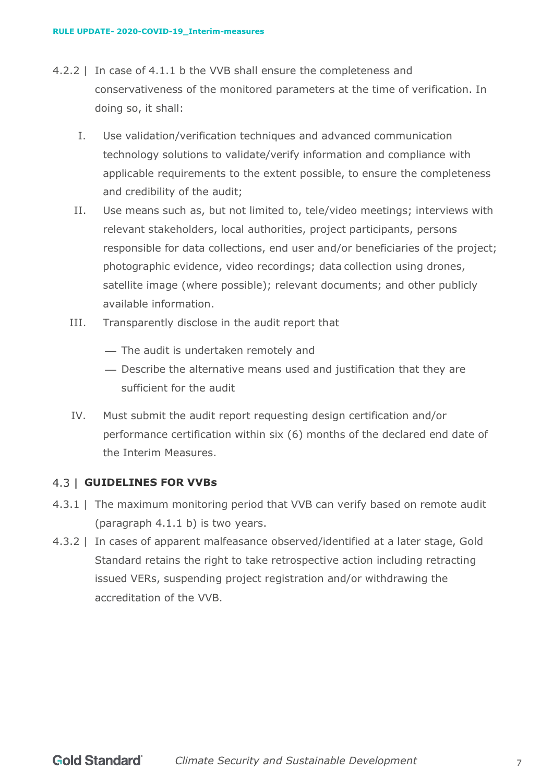- 4.2.2 | In case of [4.1.1](#page-5-0) [b t](#page-5-2)he VVB shall ensure the completeness and conservativeness of the monitored parameters at the time of verification. In doing so, it shall:
	- I. Use validation/verification techniques and advanced communication technology solutions to validate/verify information and compliance with applicable requirements to the extent possible, to ensure the completeness and credibility of the audit;
	- II. Use means such as, but not limited to, tele/video meetings; interviews with relevant stakeholders, local authorities, project participants, persons responsible for data collections, end user and/or beneficiaries of the project; photographic evidence, video recordings; data collection using drones, satellite image (where possible); relevant documents; and other publicly available information.
	- III. Transparently disclose in the audit report that
		- The audit is undertaken remotely and
		- ⎯ Describe the alternative means used and justification that they are sufficient for the audit
	- IV. Must submit the audit report requesting design certification and/or performance certification within six (6) months of the declared end date of the Interim Measures.

#### **GUIDELINES FOR VVBs**

- 4.3.1 | The maximum monitoring period that VVB can verify based on remote audit (paragraph [4.1.1](#page-5-0) [b\)](#page-5-2) is two years.
- 4.3.2 | In cases of apparent malfeasance observed/identified at a later stage, Gold Standard retains the right to take retrospective action including retracting issued VERs, suspending project registration and/or withdrawing the accreditation of the VVB.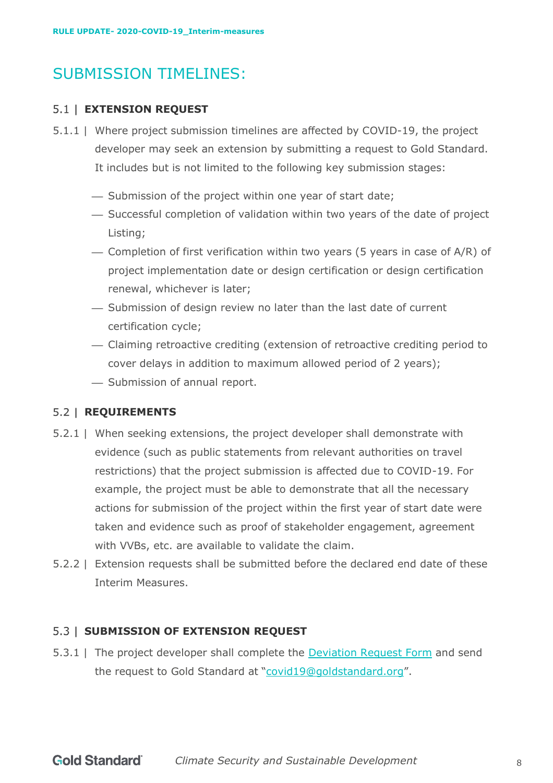# SUBMISSION TIMELINES:

#### **EXTENSION REQUEST**

- 5.1.1 | Where project submission timelines are affected by COVID-19, the project developer may seek an extension by submitting a request to Gold Standard. It includes but is not limited to the following key submission stages:
	- Submission of the project within one year of start date;
	- ⎯ Successful completion of validation within two years of the date of project Listing;
	- $-$  Completion of first verification within two years (5 years in case of  $A/R$ ) of project implementation date or design certification or design certification renewal, whichever is later;
	- Submission of design review no later than the last date of current certification cycle;
	- ⎯ Claiming retroactive crediting (extension of retroactive crediting period to cover delays in addition to maximum allowed period of 2 years);
	- Submission of annual report.

#### **REQUIREMENTS**

- 5.2.1 | When seeking extensions, the project developer shall demonstrate with evidence (such as public statements from relevant authorities on travel restrictions) that the project submission is affected due to COVID-19. For example, the project must be able to demonstrate that all the necessary actions for submission of the project within the first year of start date were taken and evidence such as proof of stakeholder engagement, agreement with VVBs, etc. are available to validate the claim.
- 5.2.2 | Extension requests shall be submitted before the declared end date of these Interim Measures.

#### **SUBMISSION OF EXTENSION REQUEST**

5.3.1 | The project developer shall complete the **[Deviation Request Form](https://globalgoals.goldstandard.org/deviation-request-form/)** and send the request to Gold Standard at ["covid19@goldstandard.org"](mailto:vvb@goldstandard.org).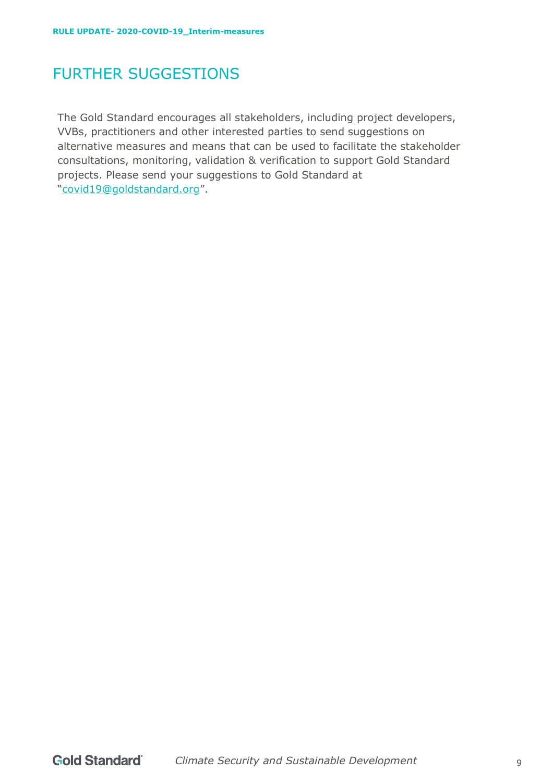# FURTHER SUGGESTIONS

The Gold Standard encourages all stakeholders, including project developers, VVBs, practitioners and other interested parties to send suggestions on alternative measures and means that can be used to facilitate the stakeholder consultations, monitoring, validation & verification to support Gold Standard projects. Please send your suggestions to Gold Standard at ["covid19@goldstandard.org"](mailto:vvb@goldstandard.org).